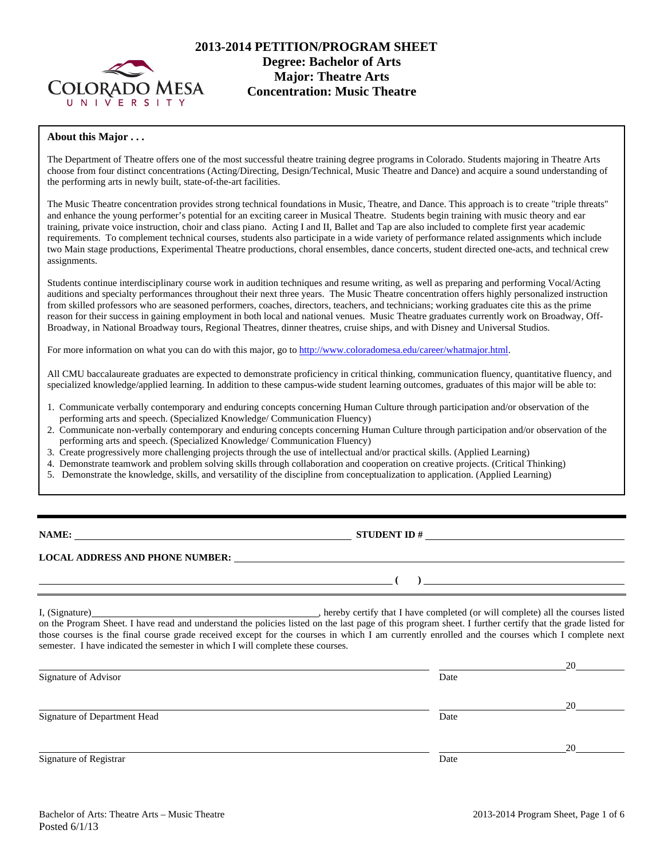

# **2013-2014 PETITION/PROGRAM SHEET Degree: Bachelor of Arts Concentration: Music Theatre**

#### **About this Major . . .**

The Department of Theatre offers one of the most successful theatre training degree programs in Colorado. Students majoring in Theatre Arts choose from four distinct concentrations (Acting/Directing, Design/Technical, Music Theatre and Dance) and acquire a sound understanding of the performing arts in newly built, state-of-the-art facilities.

The Music Theatre concentration provides strong technical foundations in Music, Theatre, and Dance. This approach is to create "triple threats" and enhance the young performer's potential for an exciting career in Musical Theatre. Students begin training with music theory and ear training, private voice instruction, choir and class piano. Acting I and II, Ballet and Tap are also included to complete first year academic requirements. To complement technical courses, students also participate in a wide variety of performance related assignments which include two Main stage productions, Experimental Theatre productions, choral ensembles, dance concerts, student directed one-acts, and technical crew assignments.

Students continue interdisciplinary course work in audition techniques and resume writing, as well as preparing and performing Vocal/Acting auditions and specialty performances throughout their next three years. The Music Theatre concentration offers highly personalized instruction from skilled professors who are seasoned performers, coaches, directors, teachers, and technicians; working graduates cite this as the prime reason for their success in gaining employment in both local and national venues. Music Theatre graduates currently work on Broadway, Off-Broadway, in National Broadway tours, Regional Theatres, dinner theatres, cruise ships, and with Disney and Universal Studios.

For more information on what you can do with this major, go to http://www.coloradomesa.edu/career/whatmajor.html.

All CMU baccalaureate graduates are expected to demonstrate proficiency in critical thinking, communication fluency, quantitative fluency, and specialized knowledge/applied learning. In addition to these campus-wide student learning outcomes, graduates of this major will be able to:

- 1. Communicate verbally contemporary and enduring concepts concerning Human Culture through participation and/or observation of the performing arts and speech. (Specialized Knowledge/ Communication Fluency)
- 2. Communicate non-verbally contemporary and enduring concepts concerning Human Culture through participation and/or observation of the performing arts and speech. (Specialized Knowledge/ Communication Fluency)
- 3. Create progressively more challenging projects through the use of intellectual and/or practical skills. (Applied Learning)
- 4. Demonstrate teamwork and problem solving skills through collaboration and cooperation on creative projects. (Critical Thinking)
- 5. Demonstrate the knowledge, skills, and versatility of the discipline from conceptualization to application. (Applied Learning)

**NAME: STUDENT ID #**

 $($   $)$   $)$   $\frac{1}{2}$   $\frac{1}{2}$   $\frac{1}{2}$   $\frac{1}{2}$   $\frac{1}{2}$   $\frac{1}{2}$   $\frac{1}{2}$   $\frac{1}{2}$   $\frac{1}{2}$   $\frac{1}{2}$   $\frac{1}{2}$   $\frac{1}{2}$   $\frac{1}{2}$   $\frac{1}{2}$   $\frac{1}{2}$   $\frac{1}{2}$   $\frac{1}{2}$   $\frac{1}{2}$   $\frac{1}{2}$   $\frac{1}{2}$   $\frac{1}{2}$ 

**LOCAL ADDRESS AND PHONE NUMBER:**

I, (Signature) , hereby certify that I have completed (or will complete) all the courses listed on the Program Sheet. I have read and understand the policies listed on the last page of this program sheet. I further certify that the grade listed for those courses is the final course grade received except for the courses in which I am currently enrolled and the courses which I complete next semester. I have indicated the semester in which I will complete these courses.

|                              |      | 20 |
|------------------------------|------|----|
| Signature of Advisor         | Date |    |
|                              |      | 20 |
| Signature of Department Head | Date |    |
|                              |      | 20 |
| Signature of Registrar       | Date |    |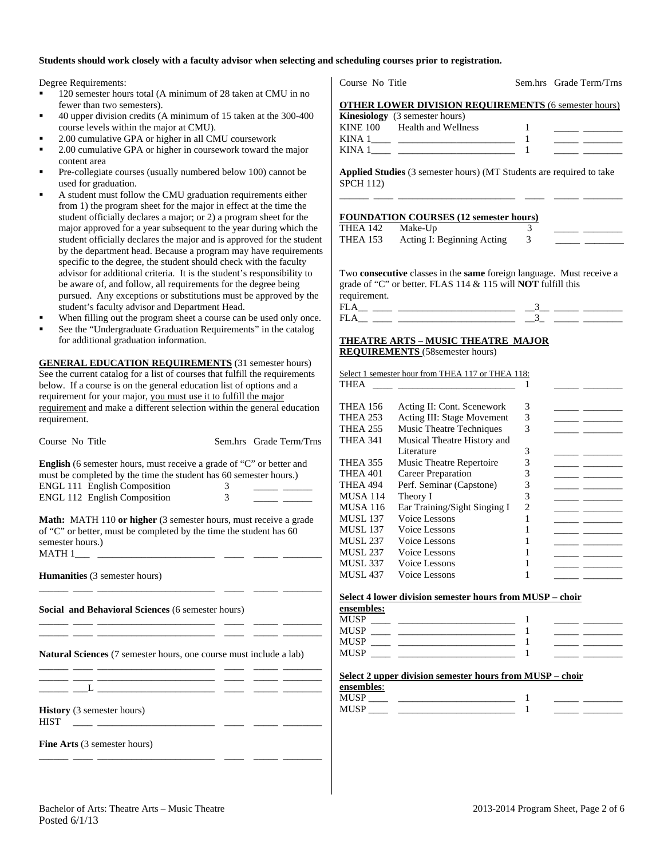# **Students should work closely with a faculty advisor when selecting and scheduling courses prior to registration.**

Degree Requirements:

- $120$  semester hours total (A minimum of 28 taken at CMU in fewer than two semesters).
- 40 upper division credits (A minimum of 15 taken at the 300course levels within the major at CMU).
- 2.00 cumulative GPA or higher in all CMU coursework
- 2.00 cumulative GPA or higher in coursework toward the maj content area
- Pre-collegiate courses (usually numbered below 100) cannot used for graduation.
- A student must follow the CMU graduation requirements eith from 1) the program sheet for the major in effect at the time the student officially declares a major; or 2) a program sheet for the major approved for a year subsequent to the year during which student officially declares the major and is approved for the student by the department head. Because a program may have require specific to the degree, the student should check with the facul advisor for additional criteria. It is the student's responsibility be aware of, and follow, all requirements for the degree being pursued. Any exceptions or substitutions must be approved b student's faculty advisor and Department Head.
- When filling out the program sheet a course can be used only
- See the "Undergraduate Graduation Requirements" in the catalog for additional graduation information.

**GENERAL EDUCATION REQUIREMENTS** (31 semester hours) See the current catalog for a list of courses that fulfill the requirem below. If a course is on the general education list of options and a requirement for your major, you must use it to fulfill the major requirement and make a different selection within the general educ requirement.

|                                                                                                                       |                |                                 | I NCA 2                        |
|-----------------------------------------------------------------------------------------------------------------------|----------------|---------------------------------|--------------------------------|
| Course No Title                                                                                                       |                | Sem.hrs Grade Term/Trns         | THEA 3                         |
| <b>English</b> (6 semester hours, must receive a grade of "C" or better and                                           |                |                                 | THEA 3                         |
| must be completed by the time the student has 60 semester hours.)                                                     |                |                                 | THEA4                          |
| <b>ENGL 111 English Composition</b>                                                                                   | 3 <sup>7</sup> |                                 | THEA4                          |
| ENGL 112 English Composition                                                                                          | $\overline{3}$ | <u> The Common Common State</u> | MUSA 1                         |
|                                                                                                                       |                |                                 | MUSA <sub>1</sub>              |
| <b>Math:</b> MATH 110 or higher (3 semester hours, must receive a grade                                               |                |                                 | MUSL <sub>1</sub>              |
| of "C" or better, must be completed by the time the student has 60                                                    |                |                                 | MUSL <sub>1</sub>              |
| semester hours.)                                                                                                      |                |                                 | MUSL <sub>2</sub>              |
|                                                                                                                       |                |                                 | MUSL <sub>2</sub>              |
|                                                                                                                       |                |                                 | MUSL <sub>3</sub>              |
| <b>Humanities</b> (3 semester hours)                                                                                  |                |                                 | MUSL <sub>4</sub>              |
|                                                                                                                       |                |                                 | Select 4                       |
| <b>Social and Behavioral Sciences (6 semester hours)</b>                                                              |                |                                 | ensembl                        |
|                                                                                                                       |                |                                 | MUSP                           |
|                                                                                                                       |                |                                 | MUSP <sub>_</sub>              |
|                                                                                                                       |                |                                 | MUSP_                          |
| <b>Natural Sciences</b> (7 semester hours, one course must include a lab)                                             |                |                                 | MUSP                           |
| <u>and provide the second control of the second control of the second control of the second control of the second</u> |                |                                 |                                |
| <u> 1999 - John John Schweizer, schweizer am der German (1999 - 1999)</u>                                             |                |                                 | Select <sub>2</sub><br>ensembl |
|                                                                                                                       |                |                                 | MUSP                           |
| <b>History</b> (3 semester hours)                                                                                     |                |                                 | MUSP                           |
| <b>HIST</b><br><u> 1999 - Alexandro Alexandro III e ale</u>                                                           |                |                                 |                                |
| <b>Fine Arts</b> (3 semester hours)                                                                                   |                |                                 |                                |
|                                                                                                                       |                |                                 |                                |

| Course No Title  |                                                                                                                                             |                             | Sem.hrs Grade Term/Trns                                                                                             |
|------------------|---------------------------------------------------------------------------------------------------------------------------------------------|-----------------------------|---------------------------------------------------------------------------------------------------------------------|
|                  | <b>OTHER LOWER DIVISION REQUIREMENTS (6 semester hours)</b>                                                                                 |                             |                                                                                                                     |
|                  | Kinesiology (3 semester hours)                                                                                                              |                             |                                                                                                                     |
|                  | KINE 100 Health and Wellness                                                                                                                | 1                           |                                                                                                                     |
|                  |                                                                                                                                             | 1                           | $\frac{1}{2}$ and $\frac{1}{2}$ and $\frac{1}{2}$                                                                   |
|                  | KINA $1 \_$                                                                                                                                 | -1                          |                                                                                                                     |
|                  |                                                                                                                                             |                             |                                                                                                                     |
| <b>SPCH 112)</b> | Applied Studies (3 semester hours) (MT Students are required to take                                                                        |                             |                                                                                                                     |
|                  |                                                                                                                                             |                             |                                                                                                                     |
|                  | <b>FOUNDATION COURSES (12 semester hours)</b>                                                                                               |                             |                                                                                                                     |
| THEA 142         | Make-Up                                                                                                                                     | 3                           |                                                                                                                     |
| <b>THEA 153</b>  | Acting I: Beginning Acting                                                                                                                  | 3 <sup>1</sup>              |                                                                                                                     |
|                  |                                                                                                                                             |                             | <u> 1990 - Jan James Barnett, politik eta politik eta politik eta politik eta politik eta politik eta politik e</u> |
|                  |                                                                                                                                             |                             |                                                                                                                     |
|                  | Two consecutive classes in the same foreign language. Must receive a<br>grade of "C" or better. FLAS 114 & 115 will <b>NOT</b> fulfill this |                             |                                                                                                                     |
| requirement.     |                                                                                                                                             |                             |                                                                                                                     |
|                  |                                                                                                                                             |                             |                                                                                                                     |
|                  |                                                                                                                                             |                             |                                                                                                                     |
|                  | $FLA$ __ __ __ ___________________ __3_ ____ _____                                                                                          |                             |                                                                                                                     |
|                  | Select 1 semester hour from THEA 117 or THEA 118:                                                                                           | 1                           |                                                                                                                     |
| <b>THEA 156</b>  | Acting II: Cont. Scenework                                                                                                                  | 3                           | $\frac{1}{2}$ and $\frac{1}{2}$                                                                                     |
| <b>THEA 253</b>  | Acting III: Stage Movement                                                                                                                  | 3                           |                                                                                                                     |
| <b>THEA 255</b>  | Music Theatre Techniques                                                                                                                    | 3                           |                                                                                                                     |
| <b>THEA 341</b>  | Musical Theatre History and<br>Literature                                                                                                   | 3                           | $ -$                                                                                                                |
| THEA 355         | Music Theatre Repertoire                                                                                                                    | $\ensuremath{\mathfrak{Z}}$ |                                                                                                                     |
| THEA 401         | <b>Career Preparation</b>                                                                                                                   | $\ensuremath{\mathfrak{Z}}$ |                                                                                                                     |
| THEA 494         | Perf. Seminar (Capstone)                                                                                                                    | 3                           |                                                                                                                     |
| <b>MUSA 114</b>  | Theory I                                                                                                                                    | 3                           |                                                                                                                     |
| <b>MUSA 116</b>  | Ear Training/Sight Singing I                                                                                                                | $\overline{c}$              |                                                                                                                     |
| <b>MUSL 137</b>  | Voice Lessons                                                                                                                               | 1                           | $\overline{\phantom{a}}$                                                                                            |
| <b>MUSL 137</b>  | Voice Lessons                                                                                                                               | 1                           |                                                                                                                     |
| <b>MUSL 237</b>  | Voice Lessons                                                                                                                               | 1                           |                                                                                                                     |
| <b>MUSL 237</b>  | Voice Lessons                                                                                                                               | 1                           |                                                                                                                     |
| <b>MUSL 337</b>  | Voice Lessons                                                                                                                               | 1                           |                                                                                                                     |
| <b>MUSL 437</b>  | Voice Lessons                                                                                                                               | 1                           |                                                                                                                     |
|                  | Select 4 lower division semester hours from MUSP - choir                                                                                    |                             |                                                                                                                     |
| ensembles:       |                                                                                                                                             |                             |                                                                                                                     |
| <b>MUSP</b>      |                                                                                                                                             | 1                           |                                                                                                                     |
| <b>MUSP</b>      | the control of the control of the control of the                                                                                            | 1                           |                                                                                                                     |
| MUSP             | <u> 1989 - Johann Barn, mars an t-Amerikaansk ferskeider (</u>                                                                              | 1                           |                                                                                                                     |
| MUSP             |                                                                                                                                             | 1                           |                                                                                                                     |
|                  | Select 2 upper division semester hours from MUSP - choir                                                                                    |                             |                                                                                                                     |
|                  |                                                                                                                                             |                             |                                                                                                                     |
| ensembles:       |                                                                                                                                             |                             |                                                                                                                     |
| MUSP             |                                                                                                                                             | 1                           |                                                                                                                     |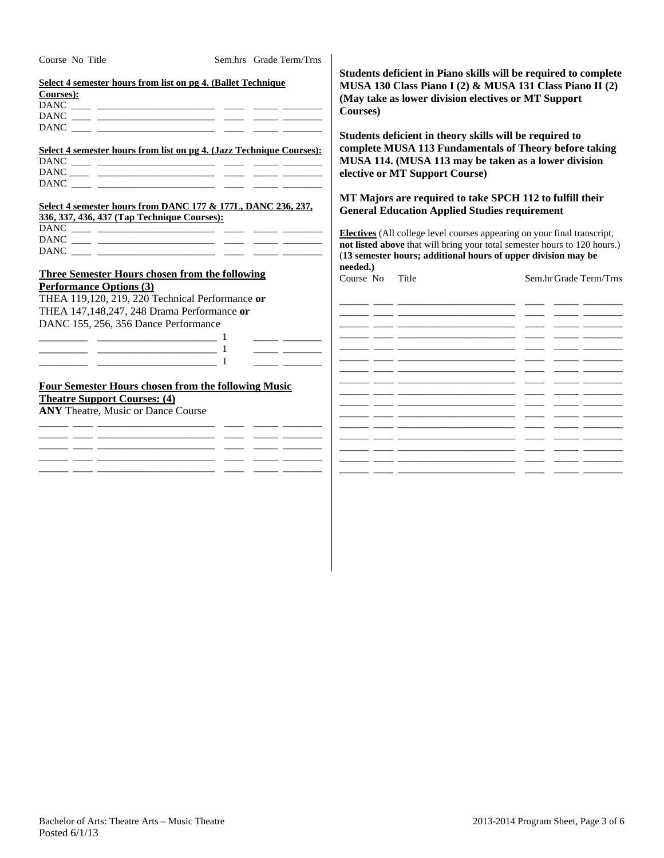| Course No Title                                       | Sem.hrs Grade Term/Trns                                                                                                                                                                                                                                                                                                                                                                                                                                                                                                                                                                                                                                                                                                                                                                                                                                                                                                                                                                                                                                                                                                                        |                                                                                                                                                                                                             |                                                                                                                                                                                    |  |
|-------------------------------------------------------|------------------------------------------------------------------------------------------------------------------------------------------------------------------------------------------------------------------------------------------------------------------------------------------------------------------------------------------------------------------------------------------------------------------------------------------------------------------------------------------------------------------------------------------------------------------------------------------------------------------------------------------------------------------------------------------------------------------------------------------------------------------------------------------------------------------------------------------------------------------------------------------------------------------------------------------------------------------------------------------------------------------------------------------------------------------------------------------------------------------------------------------------|-------------------------------------------------------------------------------------------------------------------------------------------------------------------------------------------------------------|------------------------------------------------------------------------------------------------------------------------------------------------------------------------------------|--|
| Courses):                                             | Select 4 semester hours from list on pg 4. (Ballet Technique                                                                                                                                                                                                                                                                                                                                                                                                                                                                                                                                                                                                                                                                                                                                                                                                                                                                                                                                                                                                                                                                                   | Courses)                                                                                                                                                                                                    | Students deficient in Piano skills will be required to complete<br>MUSA 130 Class Piano I (2) & MUSA 131 Class Piano II (2)<br>(May take as lower division electives or MT Support |  |
|                                                       | Select 4 semester hours from list on pg 4. (Jazz Technique Courses):<br>$\overline{\text{DANC}} \underline{\hspace{1cm}} \underline{\hspace{1cm}} \underline{\hspace{1cm}} \underline{\hspace{1cm}} \underline{\hspace{1cm}} \underline{\hspace{1cm}} \underline{\hspace{1cm}} \underline{\hspace{1cm}} \underline{\hspace{1cm}} \underline{\hspace{1cm}} \underline{\hspace{1cm}} \underline{\hspace{1cm}} \underline{\hspace{1cm}} \underline{\hspace{1cm}} \underline{\hspace{1cm}} \underline{\hspace{1cm}} \underline{\hspace{1cm}} \underline{\hspace{1cm}} \underline{\hspace{1cm}} \underline{\hspace{1cm}} \underline{\hspace{1cm}} \underline{\hspace{1cm}} \underline{\hspace{1cm}} \underline{\hs$<br>$\text{DANC} \text{ \_\_} \text{ \_\_} \text{ \_\_} \text{ \_\_} \text{ \_\_} \text{ \_\_} \text{ \_\_} \text{ \_\_} \text{ \_\_} \text{ \_\_} \text{ \_\_} \text{ \_\_} \text{ \_\_} \text{ \_\_} \text{ \_\_} \text{ \_\_} \text{ \_\_} \text{ \_\_} \text{ \_\_} \text{ \_\_} \text{ \_\_} \text{ \_\_} \text{ \_\_} \text{ \_\_} \text{ \_\_} \text{ \_\_} \text{ \_\_} \text{ \_\_} \text{ \_\_} \text{ \_\_} \text{ \$ | Students deficient in theory skills will be required to<br>complete MUSA 113 Fundamentals of Theory before taking<br>MUSA 114. (MUSA 113 may be taken as a lower division<br>elective or MT Support Course) |                                                                                                                                                                                    |  |
| 336, 337, 436, 437 (Tap Technique Courses):           | Select 4 semester hours from DANC 177 & 177L, DANC 236, 237,                                                                                                                                                                                                                                                                                                                                                                                                                                                                                                                                                                                                                                                                                                                                                                                                                                                                                                                                                                                                                                                                                   | <b>General Education Applied Studies requirement</b>                                                                                                                                                        | MT Majors are required to take SPCH 112 to fulfill their                                                                                                                           |  |
|                                                       |                                                                                                                                                                                                                                                                                                                                                                                                                                                                                                                                                                                                                                                                                                                                                                                                                                                                                                                                                                                                                                                                                                                                                |                                                                                                                                                                                                             |                                                                                                                                                                                    |  |
|                                                       |                                                                                                                                                                                                                                                                                                                                                                                                                                                                                                                                                                                                                                                                                                                                                                                                                                                                                                                                                                                                                                                                                                                                                |                                                                                                                                                                                                             | <b>Electives</b> (All college level courses appearing on your final transcript,                                                                                                    |  |
|                                                       |                                                                                                                                                                                                                                                                                                                                                                                                                                                                                                                                                                                                                                                                                                                                                                                                                                                                                                                                                                                                                                                                                                                                                |                                                                                                                                                                                                             | not listed above that will bring your total semester hours to 120 hours.)                                                                                                          |  |
|                                                       |                                                                                                                                                                                                                                                                                                                                                                                                                                                                                                                                                                                                                                                                                                                                                                                                                                                                                                                                                                                                                                                                                                                                                |                                                                                                                                                                                                             | (13 semester hours; additional hours of upper division may be                                                                                                                      |  |
| <b>Three Semester Hours chosen from the following</b> |                                                                                                                                                                                                                                                                                                                                                                                                                                                                                                                                                                                                                                                                                                                                                                                                                                                                                                                                                                                                                                                                                                                                                | needed.)<br>Course No<br>Title                                                                                                                                                                              | Sem.hr Grade Term/Trns                                                                                                                                                             |  |
| <b>Performance Options (3)</b>                        |                                                                                                                                                                                                                                                                                                                                                                                                                                                                                                                                                                                                                                                                                                                                                                                                                                                                                                                                                                                                                                                                                                                                                |                                                                                                                                                                                                             |                                                                                                                                                                                    |  |
| THEA 119,120, 219, 220 Technical Performance or       |                                                                                                                                                                                                                                                                                                                                                                                                                                                                                                                                                                                                                                                                                                                                                                                                                                                                                                                                                                                                                                                                                                                                                |                                                                                                                                                                                                             |                                                                                                                                                                                    |  |
| THEA 147,148,247, 248 Drama Performance or            |                                                                                                                                                                                                                                                                                                                                                                                                                                                                                                                                                                                                                                                                                                                                                                                                                                                                                                                                                                                                                                                                                                                                                |                                                                                                                                                                                                             | <u> 2002 - Andrea Andrewski, američki politik († 1878)</u>                                                                                                                         |  |
| DANC 155, 256, 356 Dance Performance                  |                                                                                                                                                                                                                                                                                                                                                                                                                                                                                                                                                                                                                                                                                                                                                                                                                                                                                                                                                                                                                                                                                                                                                |                                                                                                                                                                                                             |                                                                                                                                                                                    |  |
|                                                       |                                                                                                                                                                                                                                                                                                                                                                                                                                                                                                                                                                                                                                                                                                                                                                                                                                                                                                                                                                                                                                                                                                                                                |                                                                                                                                                                                                             |                                                                                                                                                                                    |  |
|                                                       |                                                                                                                                                                                                                                                                                                                                                                                                                                                                                                                                                                                                                                                                                                                                                                                                                                                                                                                                                                                                                                                                                                                                                |                                                                                                                                                                                                             |                                                                                                                                                                                    |  |
|                                                       | <u> 1989 - Johann John Stone, markin</u>                                                                                                                                                                                                                                                                                                                                                                                                                                                                                                                                                                                                                                                                                                                                                                                                                                                                                                                                                                                                                                                                                                       |                                                                                                                                                                                                             |                                                                                                                                                                                    |  |
|                                                       | <u> 1989 - John Stone, mars and de la partie de la partie de la partie de la partie de la partie de la partie de l</u>                                                                                                                                                                                                                                                                                                                                                                                                                                                                                                                                                                                                                                                                                                                                                                                                                                                                                                                                                                                                                         |                                                                                                                                                                                                             |                                                                                                                                                                                    |  |
|                                                       |                                                                                                                                                                                                                                                                                                                                                                                                                                                                                                                                                                                                                                                                                                                                                                                                                                                                                                                                                                                                                                                                                                                                                | <u>المساري المستقبل المستقبل المستقبل المستقبل المستقبل المستقبل المستقبل المستقبل المستقبل المستقبل المستقبل</u>                                                                                           |                                                                                                                                                                                    |  |
|                                                       | <b>Four Semester Hours chosen from the following Music</b>                                                                                                                                                                                                                                                                                                                                                                                                                                                                                                                                                                                                                                                                                                                                                                                                                                                                                                                                                                                                                                                                                     |                                                                                                                                                                                                             |                                                                                                                                                                                    |  |
| <b>Theatre Support Courses: (4)</b>                   |                                                                                                                                                                                                                                                                                                                                                                                                                                                                                                                                                                                                                                                                                                                                                                                                                                                                                                                                                                                                                                                                                                                                                |                                                                                                                                                                                                             |                                                                                                                                                                                    |  |
| <b>ANY Theatre, Music or Dance Course</b>             |                                                                                                                                                                                                                                                                                                                                                                                                                                                                                                                                                                                                                                                                                                                                                                                                                                                                                                                                                                                                                                                                                                                                                |                                                                                                                                                                                                             |                                                                                                                                                                                    |  |
|                                                       |                                                                                                                                                                                                                                                                                                                                                                                                                                                                                                                                                                                                                                                                                                                                                                                                                                                                                                                                                                                                                                                                                                                                                |                                                                                                                                                                                                             |                                                                                                                                                                                    |  |
|                                                       |                                                                                                                                                                                                                                                                                                                                                                                                                                                                                                                                                                                                                                                                                                                                                                                                                                                                                                                                                                                                                                                                                                                                                |                                                                                                                                                                                                             |                                                                                                                                                                                    |  |
|                                                       |                                                                                                                                                                                                                                                                                                                                                                                                                                                                                                                                                                                                                                                                                                                                                                                                                                                                                                                                                                                                                                                                                                                                                |                                                                                                                                                                                                             |                                                                                                                                                                                    |  |
|                                                       |                                                                                                                                                                                                                                                                                                                                                                                                                                                                                                                                                                                                                                                                                                                                                                                                                                                                                                                                                                                                                                                                                                                                                |                                                                                                                                                                                                             |                                                                                                                                                                                    |  |
|                                                       |                                                                                                                                                                                                                                                                                                                                                                                                                                                                                                                                                                                                                                                                                                                                                                                                                                                                                                                                                                                                                                                                                                                                                |                                                                                                                                                                                                             |                                                                                                                                                                                    |  |
|                                                       |                                                                                                                                                                                                                                                                                                                                                                                                                                                                                                                                                                                                                                                                                                                                                                                                                                                                                                                                                                                                                                                                                                                                                |                                                                                                                                                                                                             |                                                                                                                                                                                    |  |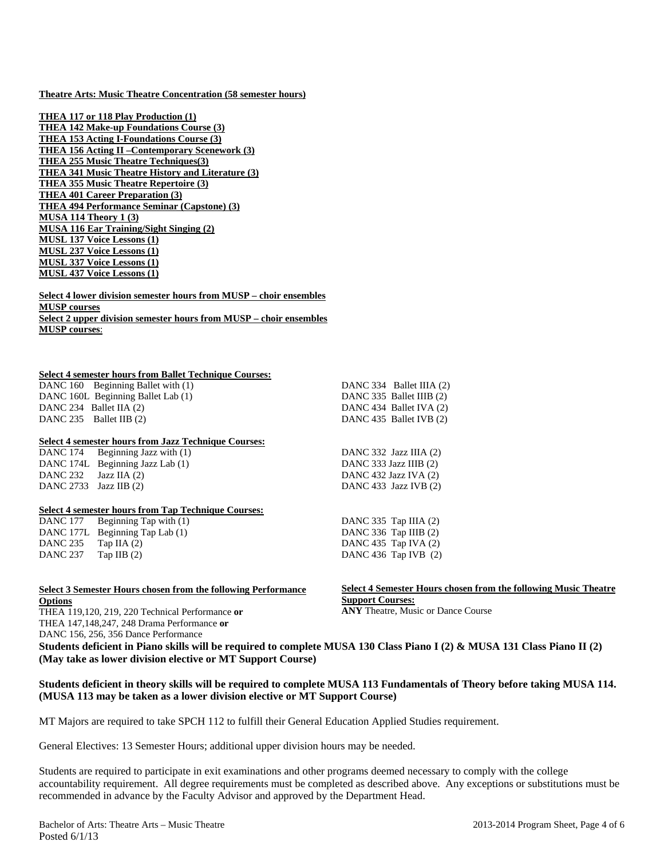#### **Theatre Arts: Music Theatre Concentration (58 semester hours)**

**THEA 117 or 118 Play Production (1) THEA 142 Make-up Foundations Course (3) THEA 153 Acting I-Foundations Course (3) THEA 156 Acting II –Contemporary Scenework (3) THEA 255 Music Theatre Techniques(3) THEA 341 Music Theatre History and Literature (3) THEA 355 Music Theatre Repertoire (3) THEA 401 Career Preparation (3) THEA 494 Performance Seminar (Capstone) (3) MUSA 114 Theory 1 (3) MUSA 116 Ear Training/Sight Singing (2) MUSL 137 Voice Lessons (1) MUSL 237 Voice Lessons (1) MUSL 337 Voice Lessons (1) MUSL 437 Voice Lessons (1)** 

#### **Select 4 lower division semester hours from MUSP – choir ensembles MUSP courses Select 2 upper division semester hours from MUSP – choir ensembles MUSP courses**:

#### **Select 4 semester hours from Ballet Technique Courses:**

DANC 160 Beginning Ballet with (1) DANC 160L Beginning Ballet Lab (1) DANC 234 Ballet IIA (2) DANC 235 Ballet IIB (2)

#### **Select 4 semester hours from Jazz Technique Courses:**

DANC 174 Beginning Jazz with (1) DANC 174L Beginning Jazz Lab (1) DANC 232 Jazz IIA (2) DANC 2733 Jazz IIB (2)

#### **Select 4 semester hours from Tap Technique Courses:**

DANC 177 Beginning Tap with (1) DANC 177L Beginning Tap Lab (1) DANC  $235$  Tap IIA  $(2)$ DANC 237 Tap IIB (2)

#### **Select 3 Semester Hours chosen from the following Performance Options**  THEA 119,120, 219, 220 Technical Performance **or**

THEA 147,148,247, 248 Drama Performance **or**  DANC 156, 256, 356 Dance Performance

DANC 332 Jazz IIIA (2) DANC 333 Jazz IIIB (2) DANC 432 Jazz IVA (2) DANC 433 Jazz IVB (2)

DANC 334 Ballet IIIA (2) DANC 335 Ballet IIIB (2) DANC 434 Ballet IVA (2) DANC 435 Ballet IVB (2)

DANC 335 Tap IIIA (2) DANC 336 Tap IIIB (2) DANC 435 Tap IVA (2) DANC 436 Tap IVB (2)

## **Select 4 Semester Hours chosen from the following Music Theatre Support Courses:**

**ANY** Theatre, Music or Dance Course

**Students deficient in Piano skills will be required to complete MUSA 130 Class Piano I (2) & MUSA 131 Class Piano II (2) (May take as lower division elective or MT Support Course)** 

### **Students deficient in theory skills will be required to complete MUSA 113 Fundamentals of Theory before taking MUSA 114. (MUSA 113 may be taken as a lower division elective or MT Support Course)**

MT Majors are required to take SPCH 112 to fulfill their General Education Applied Studies requirement.

General Electives: 13 Semester Hours; additional upper division hours may be needed.

Students are required to participate in exit examinations and other programs deemed necessary to comply with the college accountability requirement. All degree requirements must be completed as described above. Any exceptions or substitutions must be recommended in advance by the Faculty Advisor and approved by the Department Head.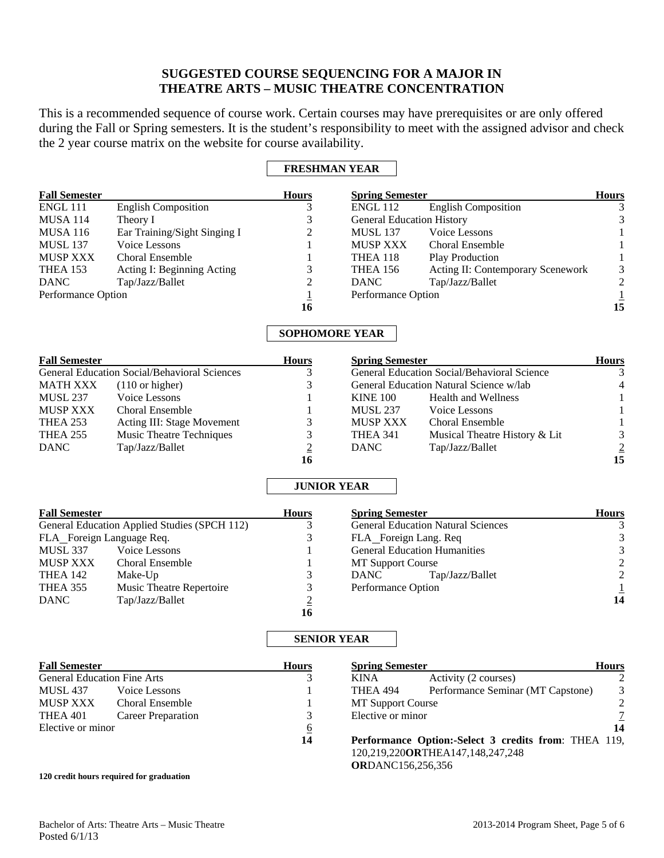# **SUGGESTED COURSE SEQUENCING FOR A MAJOR IN THEATRE ARTS – MUSIC THEATRE CONCENTRATION**

This is a recommended sequence of course work. Certain courses may have prerequisites or are only offered during the Fall or Spring semesters. It is the student's responsibility to meet with the assigned advisor and check the 2 year course matrix on the website for course availability.

# **FRESHMAN YEAR**

| <b>Fall Semester</b>               |                                                     | <b>Hours</b>          | <b>Spring Semester</b>                                                                   | <b>Hours</b>                |
|------------------------------------|-----------------------------------------------------|-----------------------|------------------------------------------------------------------------------------------|-----------------------------|
| <b>ENGL 111</b>                    | <b>English Composition</b>                          | 3                     | <b>English Composition</b><br><b>ENGL 112</b>                                            | 3                           |
| <b>MUSA 114</b>                    | Theory I                                            | 3                     | <b>General Education History</b>                                                         | $\mathfrak{Z}$              |
| <b>MUSA 116</b>                    | Ear Training/Sight Singing I                        | 2                     | Voice Lessons<br><b>MUSL 137</b>                                                         | 1                           |
| <b>MUSL 137</b>                    | Voice Lessons                                       |                       | <b>MUSP XXX</b><br>Choral Ensemble                                                       | 1                           |
| <b>MUSP XXX</b>                    | <b>Choral Ensemble</b>                              | 1                     | <b>Play Production</b><br>THEA 118                                                       | $\mathbf{1}$                |
| <b>THEA 153</b>                    | Acting I: Beginning Acting                          | 3                     | Acting II: Contemporary Scenework<br><b>THEA 156</b>                                     | $\sqrt{3}$                  |
| <b>DANC</b>                        | Tap/Jazz/Ballet                                     | $\overline{2}$        | Tap/Jazz/Ballet<br><b>DANC</b>                                                           | $\overline{c}$              |
| Performance Option                 |                                                     | $\overline{1}$        | Performance Option                                                                       | $\frac{1}{15}$              |
|                                    |                                                     | 16                    |                                                                                          |                             |
|                                    |                                                     | <b>SOPHOMORE YEAR</b> |                                                                                          |                             |
| <b>Fall Semester</b>               |                                                     | <b>Hours</b>          | <b>Spring Semester</b>                                                                   | <b>Hours</b>                |
|                                    | <b>General Education Social/Behavioral Sciences</b> | 3                     | General Education Social/Behavioral Science                                              | 3                           |
| <b>MATH XXX</b>                    | $(110 \text{ or higher})$                           | 3                     | General Education Natural Science w/lab                                                  | $\overline{4}$              |
| <b>MUSL 237</b>                    | Voice Lessons                                       | 1                     | <b>KINE 100</b><br><b>Health and Wellness</b>                                            | 1                           |
| <b>MUSP XXX</b>                    | Choral Ensemble                                     | 1                     | <b>MUSL 237</b><br>Voice Lessons                                                         | $\mathbf{1}$                |
| <b>THEA 253</b>                    | Acting III: Stage Movement                          | 3                     | Choral Ensemble<br><b>MUSP XXX</b>                                                       | $\mathbf{1}$                |
| THEA 255                           | Music Theatre Techniques                            | 3                     | <b>THEA 341</b><br>Musical Theatre History & Lit                                         | 3                           |
| <b>DANC</b>                        | Tap/Jazz/Ballet                                     | $\overline{2}$        | Tap/Jazz/Ballet<br><b>DANC</b>                                                           |                             |
|                                    |                                                     | 16                    |                                                                                          | $\frac{2}{15}$              |
|                                    |                                                     | <b>JUNIOR YEAR</b>    |                                                                                          |                             |
| <b>Fall Semester</b>               |                                                     | <b>Hours</b>          | <b>Spring Semester</b>                                                                   | <b>Hours</b>                |
|                                    | General Education Applied Studies (SPCH 112)        | 3                     | <b>General Education Natural Sciences</b>                                                | 3                           |
| FLA_Foreign Language Req.          |                                                     | 3                     | FLA_Foreign Lang. Req                                                                    | $\ensuremath{\mathfrak{Z}}$ |
| <b>MUSL 337</b>                    | Voice Lessons                                       | 1                     | <b>General Education Humanities</b>                                                      | $\frac{3}{2}$               |
| MUSP XXX                           | <b>Choral Ensemble</b>                              | 1                     | <b>MT Support Course</b>                                                                 |                             |
| THEA 142                           | Make-Up                                             | 3                     | <b>DANC</b><br>Tap/Jazz/Ballet                                                           | $\overline{c}$              |
| THEA 355                           | Music Theatre Repertoire                            | 3                     | Performance Option                                                                       | $\frac{1}{14}$              |
| <b>DANC</b>                        | Tap/Jazz/Ballet                                     | $\overline{2}$        |                                                                                          |                             |
|                                    |                                                     | 16                    |                                                                                          |                             |
|                                    |                                                     | <b>SENIOR YEAR</b>    |                                                                                          |                             |
| <b>Fall Semester</b>               |                                                     | <b>Hours</b>          | <b>Spring Semester</b>                                                                   | <b>Hours</b>                |
| <b>General Education Fine Arts</b> |                                                     | 3                     | <b>KINA</b><br>Activity (2 courses)                                                      | $\overline{2}$              |
| <b>MUSL 437</b>                    | Voice Lessons                                       | 1                     | THEA 494<br>Performance Seminar (MT Capstone)                                            | 3                           |
| <b>MUSP XXX</b>                    | Choral Ensemble                                     | 1                     | <b>MT Support Course</b>                                                                 | $\mathfrak{2}$              |
| THEA 401                           | <b>Career Preparation</b>                           | 3                     | Elective or minor                                                                        | $\overline{7}$              |
| Elective or minor                  |                                                     | $6\phantom{1}6$       |                                                                                          | 14                          |
|                                    |                                                     | 14                    | Performance Option:-Select 3 credits from: THEA 119,<br>120,219,220ORTHEA147,148,247,248 |                             |

**OR**DANC156,256,356

#### **120 credit hours required for graduation**